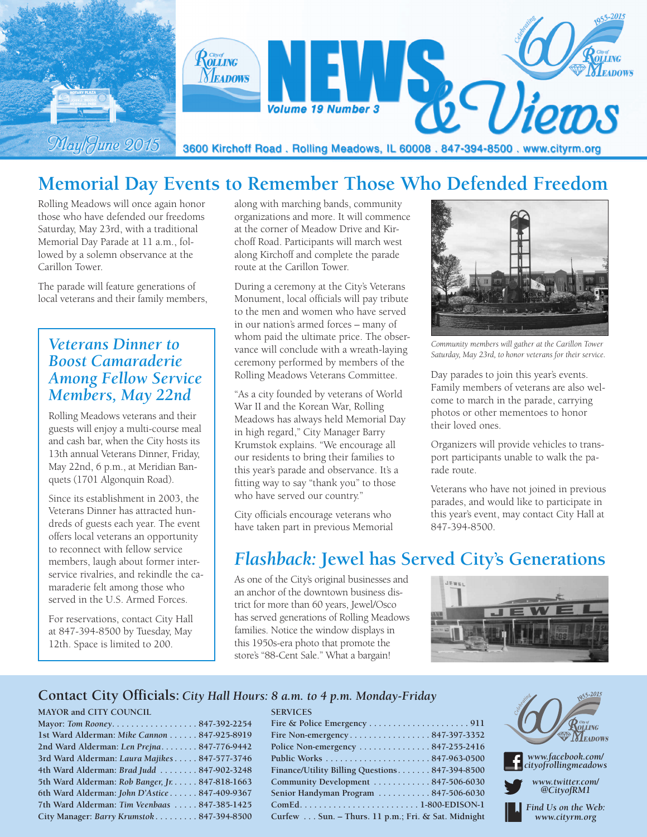

# **Memorial Day Events to Remember Those Who Defended Freedom**

Rolling Meadows will once again honor those who have defended our freedoms Saturday, May 23rd, with a traditional Memorial Day Parade at 11 a.m., followed by a solemn observance at the Carillon Tower.

The parade will feature generations of local veterans and their family members,

### *Veterans Dinner to Boost Camaraderie Among Fellow Service Members, May 22nd*

Rolling Meadows veterans and their guests will enjoy a multi-course meal and cash bar, when the City hosts its 13th annual Veterans Dinner, Friday, May 22nd, 6 p.m., at Meridian Banquets (1701 Algonquin Road).

Since its establishment in 2003, the Veterans Dinner has attracted hundreds of guests each year. The event offers local veterans an opportunity to reconnect with fellow service members, laugh about former interservice rivalries, and rekindle the camaraderie felt among those who served in the U.S. Armed Forces.

For reservations, contact City Hall at 847-394-8500 by Tuesday, May 12th. Space is limited to 200.

along with marching bands, community organizations and more. It will commence at the corner of Meadow Drive and Kirchoff Road. Participants will march west along Kirchoff and complete the parade route at the Carillon Tower.

During a ceremony at the City's Veterans Monument, local officials will pay tribute to the men and women who have served in our nation's armed forces – many of whom paid the ultimate price. The observance will conclude with a wreath-laying ceremony performed by members of the Rolling Meadows Veterans Committee.

"As a city founded by veterans of World War II and the Korean War, Rolling Meadows has always held Memorial Day in high regard," City Manager Barry Krumstok explains. "We encourage all our residents to bring their families to this year's parade and observance. It's a fitting way to say "thank you" to those who have served our country."

City officials encourage veterans who have taken part in previous Memorial



*Community members will gather at the Carillon Tower Saturday, May 23rd, to honor veterans for their service.*

Day parades to join this year's events. Family members of veterans are also welcome to march in the parade, carrying photos or other mementoes to honor their loved ones.

Organizers will provide vehicles to transport participants unable to walk the parade route.

Veterans who have not joined in previous parades, and would like to participate in this year's event, may contact City Hall at 847-394-8500.

## *Flashback:* **Jewel has Served City's Generations**

As one of the City's original businesses and an anchor of the downtown business district for more than 60 years, Jewel/Osco has served generations of Rolling Meadows families. Notice the window displays in this 1950s-era photo that promote the store's "88-Cent Sale." What a bargain!

**SERVICES**



### **Contact City Officials:** *City Hall Hours: 8 a.m. to 4 p.m. Monday-Friday*

#### **MAYOR and CITY COUNCIL**

| Mayor: Tom Rooney. 847-392-2254                 |  |
|-------------------------------------------------|--|
| 1st Ward Alderman: Mike Cannon 847-925-8919     |  |
| 2nd Ward Alderman: Len Prejna 847-776-9442      |  |
| 3rd Ward Alderman: Laura Majikes 847-577-3746   |  |
| 4th Ward Alderman: Brad Judd  847-902-3248      |  |
| 5th Ward Alderman: Rob Banger, Jr. 847-818-1663 |  |
| 6th Ward Alderman: John D'Astice 847-409-9367   |  |
| 7th Ward Alderman: Tim Veenbaas  847-385-1425   |  |
| City Manager: Barry Krumstok847-394-8500        |  |

| Fire Non-emergency847-397-3352                     |
|----------------------------------------------------|
| Police Non-emergency 847-255-2416                  |
|                                                    |
| Finance/Utility Billing Questions 847-394-8500     |
| Community Development 847-506-6030                 |
| Senior Handyman Program 847-506-6030               |
|                                                    |
| Curfew Sun. – Thurs. 11 p.m.; Fri. & Sat. Midnight |
|                                                    |



*www.facebook.com/ cityofrollingmeadows*

*www.twitter.com/ @CityofRM1*

*Find Us on the Web: www.cityrm.org*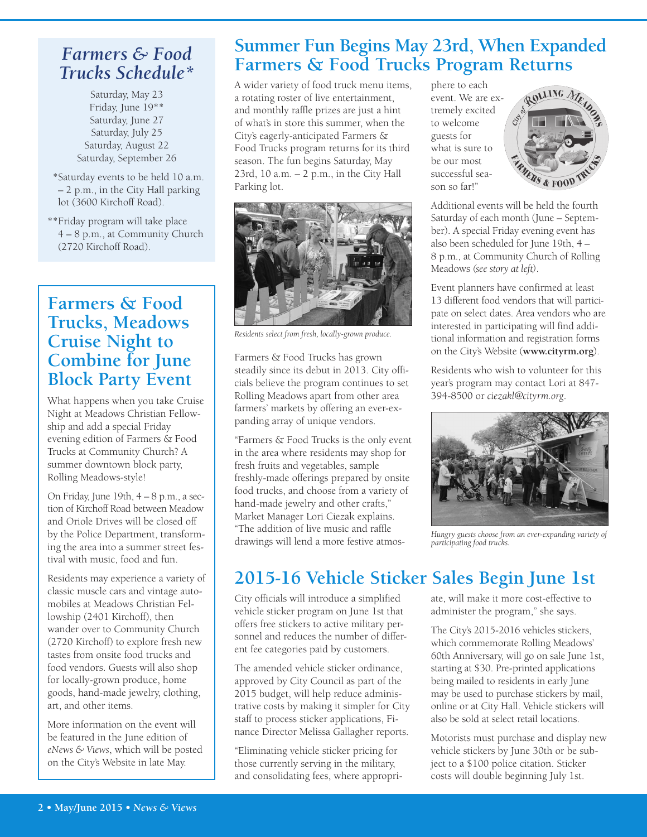### *Farmers & Food Trucks Schedule\**

Saturday, May 23 Friday, June 19\*\* Saturday, June 27 Saturday, July 25 Saturday, August 22 Saturday, September 26

\*\*Saturday events to be held 10 a.m. – 2 p.m., in the City Hall parking lot (3600 Kirchoff Road).

\*\*Friday program will take place 4 – 8 p.m., at Community Church (2720 Kirchoff Road).

### **Farmers & Food Trucks, Meadows Cruise Night to Combine for June Block Party Event**

What happens when you take Cruise Night at Meadows Christian Fellowship and add a special Friday evening edition of Farmers & Food Trucks at Community Church? A summer downtown block party, Rolling Meadows-style!

On Friday, June 19th, 4 – 8 p.m., a section of Kirchoff Road between Meadow and Oriole Drives will be closed off by the Police Department, transforming the area into a summer street festival with music, food and fun.

Residents may experience a variety of classic muscle cars and vintage automobiles at Meadows Christian Fellowship (2401 Kirchoff), then wander over to Community Church (2720 Kirchoff) to explore fresh new tastes from onsite food trucks and food vendors. Guests will also shop for locally-grown produce, home goods, hand-made jewelry, clothing, art, and other items.

More information on the event will be featured in the June edition of *eNews & Views*, which will be posted on the City's Website in late May.

## **Summer Fun Begins May 23rd, When Expanded Farmers & Food Trucks Program Returns**

A wider variety of food truck menu items, a rotating roster of live entertainment, and monthly raffle prizes are just a hint of what's in store this summer, when the City's eagerly-anticipated Farmers & Food Trucks program returns for its third season. The fun begins Saturday, May 23rd, 10 a.m. – 2 p.m., in the City Hall Parking lot.



*Residents select from fresh, locally-grown produce.*

Farmers & Food Trucks has grown steadily since its debut in 2013. City officials believe the program continues to set Rolling Meadows apart from other area farmers' markets by offering an ever-expanding array of unique vendors.

"Farmers & Food Trucks is the only event in the area where residents may shop for fresh fruits and vegetables, sample freshly-made offerings prepared by onsite food trucks, and choose from a variety of hand-made jewelry and other crafts," Market Manager Lori Ciezak explains. "The addition of live music and raffle drawings will lend a more festive atmosphere to each event. We are extremely excited to welcome guests for what is sure to be our most successful season so far!"



Additional events will be held the fourth Saturday of each month (June – September). A special Friday evening event has also been scheduled for June 19th, 4 – 8 p.m., at Community Church of Rolling Meadows *(see story at left)*.

Event planners have confirmed at least 13 different food vendors that will participate on select dates. Area vendors who are interested in participating will find additional information and registration forms on the City's Website (**www.cityrm.org**).

Residents who wish to volunteer for this year's program may contact Lori at 847- 394-8500 or *ciezakl@cityrm.org*.



*Hungry guests choose from an ever-expanding variety of participating food trucks.*

# **2015-16 Vehicle Sticker Sales Begin June 1st**

City officials will introduce a simplified vehicle sticker program on June 1st that offers free stickers to active military personnel and reduces the number of different fee categories paid by customers.

The amended vehicle sticker ordinance, approved by City Council as part of the 2015 budget, will help reduce administrative costs by making it simpler for City staff to process sticker applications, Finance Director Melissa Gallagher reports.

"Eliminating vehicle sticker pricing for those currently serving in the military, and consolidating fees, where appropriate, will make it more cost-effective to administer the program," she says.

The City's 2015-2016 vehicles stickers, which commemorate Rolling Meadows' 60th Anniversary, will go on sale June 1st, starting at \$30. Pre-printed applications being mailed to residents in early June may be used to purchase stickers by mail, online or at City Hall. Vehicle stickers will also be sold at select retail locations.

Motorists must purchase and display new vehicle stickers by June 30th or be subject to a \$100 police citation. Sticker costs will double beginning July 1st.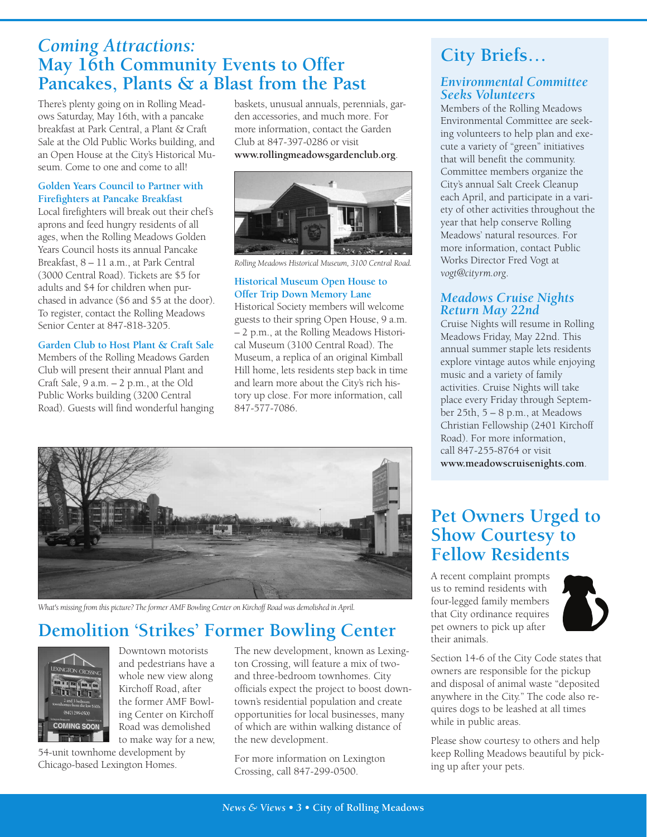### *Coming Attractions:* **May 16th Community Events to Offer Pancakes, Plants & a Blast from the Past**

There's plenty going on in Rolling Meadows Saturday, May 16th, with a pancake breakfast at Park Central, a Plant & Craft Sale at the Old Public Works building, and an Open House at the City's Historical Museum. Come to one and come to all!

#### **Golden Years Council to Partner with Firefighters at Pancake Breakfast**

Local firefighters will break out their chef's aprons and feed hungry residents of all ages, when the Rolling Meadows Golden Years Council hosts its annual Pancake Breakfast, 8 – 11 a.m., at Park Central (3000 Central Road). Tickets are \$5 for adults and \$4 for children when purchased in advance (\$6 and \$5 at the door). To register, contact the Rolling Meadows Senior Center at 847-818-3205.

#### **Garden Club to Host Plant & Craft Sale**

Members of the Rolling Meadows Garden Club will present their annual Plant and Craft Sale, 9 a.m. – 2 p.m., at the Old Public Works building (3200 Central Road). Guests will find wonderful hanging baskets, unusual annuals, perennials, garden accessories, and much more. For more information, contact the Garden Club at 847-397-0286 or visit **www.rollingmeadowsgardenclub.org**.



*Rolling Meadows Historical Museum, 3100 Central Road.*

#### **Historical Museum Open House to Offer Trip Down Memory Lane**

Historical Society members will welcome guests to their spring Open House, 9 a.m. – 2 p.m., at the Rolling Meadows Historical Museum (3100 Central Road). The Museum, a replica of an original Kimball Hill home, lets residents step back in time and learn more about the City's rich history up close. For more information, call 847-577-7086.



*What's missing from this picture? Theformer AMF Bowling Center on Kirchoff Road was demolished in April.*

## **Demolition 'Strikes' Former Bowling Center**



Downtown motorists and pedestrians have a whole new view along Kirchoff Road, after the former AMF Bowling Center on Kirchoff Road was demolished to make way for a new,

54-unit townhome development by Chicago-based Lexington Homes.

The new development, known as Lexington Crossing, will feature a mix of twoand three-bedroom townhomes. City officials expect the project to boost downtown's residential population and create opportunities for local businesses, many of which are within walking distance of the new development.

For more information on Lexington Crossing, call 847-299-0500.

# **City Briefs…**

### *Environmental Committee Seeks Volunteers*

Members of the Rolling Meadows Environmental Committee are seeking volunteers to help plan and execute a variety of "green" initiatives that will benefit the community. Committee members organize the City's annual Salt Creek Cleanup each April, and participate in a variety of other activities throughout the year that help conserve Rolling Meadows' natural resources. For more information, contact Public Works Director Fred Vogt at *vogt@cityrm.org*.

### *Meadows Cruise Nights Return May 22nd*

Cruise Nights will resume in Rolling Meadows Friday, May 22nd. This annual summer staple lets residents explore vintage autos while enjoying music and a variety of family activities. Cruise Nights will take place every Friday through September 25th, 5 – 8 p.m., at Meadows Christian Fellowship (2401 Kirchoff Road). For more information, call 847-255-8764 or visit **www.meadowscruisenights.com**.

**Pet Owners Urged to Show Courtesy to Fellow Residents**

A recent complaint prompts us to remind residents with four-legged family members that City ordinance requires pet owners to pick up after their animals.



Section 14-6 of the City Code states that owners are responsible for the pickup and disposal of animal waste "deposited anywhere in the City." The code also requires dogs to be leashed at all times while in public areas.

Please show courtesy to others and help keep Rolling Meadows beautiful by picking up after your pets.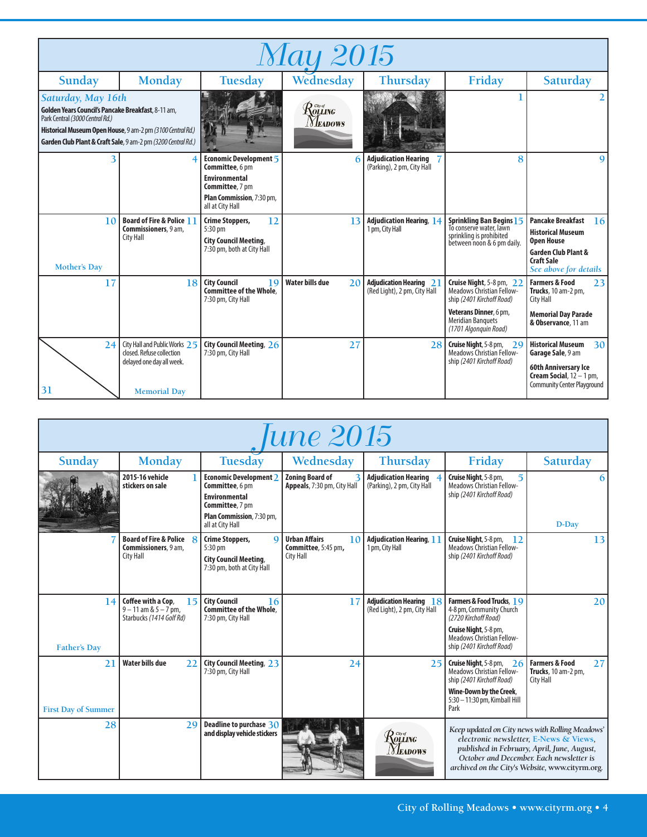| <b>May 2015</b>                                                                                                                                                             |                                                                                                                |                                                                                                                                       |                                                                                     |                                                                |                                                                                                                                                                          |                                                                                                                                                                 |  |  |
|-----------------------------------------------------------------------------------------------------------------------------------------------------------------------------|----------------------------------------------------------------------------------------------------------------|---------------------------------------------------------------------------------------------------------------------------------------|-------------------------------------------------------------------------------------|----------------------------------------------------------------|--------------------------------------------------------------------------------------------------------------------------------------------------------------------------|-----------------------------------------------------------------------------------------------------------------------------------------------------------------|--|--|
| Sunday                                                                                                                                                                      | <b>Monday</b>                                                                                                  | <b>Tuesday</b>                                                                                                                        | Wednesday                                                                           | Thursday                                                       | Friday                                                                                                                                                                   | <b>Saturday</b>                                                                                                                                                 |  |  |
| Saturday, May 16th<br>Golden Years Council's Pancake Breakfast, 8-11 am,<br>Park Central (3000 Central Rd.)<br>Garden Club Plant & Craft Sale, 9 am-2 pm (3200 Central Rd.) | Historical Museum Open House, 9 am-2 pm (3100 Central Rd.)                                                     |                                                                                                                                       | $\mathcal{R}^{\tiny \tiny \textit{Cayd}}_{\tiny \textit{OLLING}}$<br><i>Neadows</i> |                                                                |                                                                                                                                                                          |                                                                                                                                                                 |  |  |
| 3                                                                                                                                                                           | 4                                                                                                              | Economic Development 5<br>Committee, 6 pm<br><b>Environmental</b><br>Committee, 7 pm<br>Plan Commission, 7:30 pm,<br>all at City Hall |                                                                                     | <b>Adjudication Hearing</b><br>(Parking), 2 pm, City Hall      | 8                                                                                                                                                                        | g                                                                                                                                                               |  |  |
| 10<br><b>Mother's Day</b>                                                                                                                                                   | <b>Board of Fire &amp; Police 11</b><br>Commissioners, 9 am,<br><b>City Hall</b>                               | 12<br><b>Crime Stoppers,</b><br>5:30 pm<br><b>City Council Meeting,</b><br>7:30 pm, both at City Hall                                 | 13                                                                                  | <b>Adjudication Hearing, 14</b><br>1 pm, City Hall             | Sprinkling Ban Begins 15<br>To conserve water, lawn<br>sprinkling is prohibited<br>between noon & 6 pm daily.                                                            | <b>Pancake Breakfast</b><br>16<br><b>Historical Museum</b><br><b>Open House</b><br><b>Garden Club Plant &amp;</b><br><b>Craft Sale</b><br>See above for details |  |  |
| 17                                                                                                                                                                          | 18                                                                                                             | <b>City Council</b><br>19<br><b>Committee of the Whole.</b><br>7:30 pm, City Hall                                                     | <b>Water bills due</b><br>2 <sub>0</sub>                                            | <b>Adjudication Hearing 21</b><br>(Red Light), 2 pm, City Hall | Cruise Night, 5-8 pm, 22<br><b>Meadows Christian Fellow-</b><br>ship (2401 Kirchoff Road)<br>Veterans Dinner, 6 pm,<br><b>Meridian Banquets</b><br>(1701 Algonquin Road) | <b>Farmers &amp; Food</b><br>23<br>Trucks, 10 am-2 pm,<br><b>City Hall</b><br><b>Memorial Day Parade</b><br>& Observance, 11 am                                 |  |  |
| 24 <sup>1</sup><br>31                                                                                                                                                       | City Hall and Public Works 25<br>closed. Refuse collection<br>delayed one day all week.<br><b>Memorial Day</b> | City Council Meeting, 26<br>7:30 pm, City Hall                                                                                        | 27                                                                                  | 28                                                             | Cruise Night, 5-8 pm, 29<br><b>Meadows Christian Fellow-</b><br>ship (2401 Kirchoff Road)                                                                                | <b>Historical Museum</b><br>30 <sup>1</sup><br>Garage Sale, 9 am<br>60th Anniversary Ice<br>Cream Social, $12 - 1$ pm,<br><b>Community Center Playground</b>    |  |  |

| une 2015                         |                                                                                   |                                                                                                                                              |                                                                       |                                                                   |                                                                                                                                                                  |                                                                                                                                                                                                                                         |  |
|----------------------------------|-----------------------------------------------------------------------------------|----------------------------------------------------------------------------------------------------------------------------------------------|-----------------------------------------------------------------------|-------------------------------------------------------------------|------------------------------------------------------------------------------------------------------------------------------------------------------------------|-----------------------------------------------------------------------------------------------------------------------------------------------------------------------------------------------------------------------------------------|--|
| Sunday                           | <b>Monday</b>                                                                     | <b>Tuesday</b>                                                                                                                               | Wednesday                                                             | <b>Thursday</b>                                                   | Friday                                                                                                                                                           | <b>Saturday</b>                                                                                                                                                                                                                         |  |
|                                  | 2015-16 vehicle<br>stickers on sale                                               | <b>Economic Development 2</b><br>Committee, 6 pm<br><b>Environmental</b><br>Committee, 7 pm<br>Plan Commission, 7:30 pm,<br>all at City Hall | <b>Zoning Board of</b><br>Appeals, 7:30 pm, City Hall                 | <b>Adjudication Hearing</b><br>(Parking), 2 pm, City Hall         | Cruise Night, 5-8 pm,<br>$5^{\circ}$<br><b>Meadows Christian Fellow-</b><br>ship (2401 Kirchoff Road)                                                            | 6<br>D-Day                                                                                                                                                                                                                              |  |
|                                  | <b>Board of Fire &amp; Police</b> 8<br>Commissioners, 9 am,<br><b>City Hall</b>   | <b>Crime Stoppers,</b><br>$\mathbf Q$<br>$5:30 \text{ pm}$<br><b>City Council Meeting,</b><br>7:30 pm, both at City Hall                     | <b>Urban Affairs</b><br>10<br>Committee, 5:45 pm,<br><b>City Hall</b> | <b>Adjudication Hearing, 11</b><br>1 pm, City Hall                | Cruise Night, 5-8 pm,<br>12<br><b>Meadows Christian Fellow-</b><br>ship (2401 Kirchoff Road)                                                                     | 13 <sup>1</sup>                                                                                                                                                                                                                         |  |
| 14<br><b>Father's Day</b>        | Coffee with a Cop,<br>15<br>$9 - 11$ am & $5 - 7$ pm,<br>Starbucks (1414 Golf Rd) | <b>City Council</b><br>16<br><b>Committee of the Whole.</b><br>7:30 pm, City Hall                                                            | 17                                                                    | <b>Adjudication Hearing</b><br>18<br>(Red Light), 2 pm, City Hall | Farmers & Food Trucks, 19<br>4-8 pm, Community Church<br>(2720 Kirchoff Road)<br>Cruise Night, 5-8 pm,<br>Meadows Christian Fellow-<br>ship (2401 Kirchoff Road) | 20                                                                                                                                                                                                                                      |  |
| 21<br><b>First Day of Summer</b> | <b>Water bills due</b><br>22                                                      | City Council Meeting, 23<br>7:30 pm, City Hall                                                                                               | 24                                                                    | 25                                                                | Cruise Night, 5-8 pm, $26$<br><b>Meadows Christian Fellow-</b><br>ship (2401 Kirchoff Road)<br>Wine-Down by the Creek,<br>5:30 - 11:30 pm, Kimball Hill<br>Park  | <b>Farmers &amp; Food</b><br>27<br>Trucks, 10 am-2 pm,<br><b>City Hall</b>                                                                                                                                                              |  |
| 28                               | 29                                                                                | Deadline to purchase 30<br>and display vehicle stickers                                                                                      |                                                                       | Rolling<br><b>NEADOWS</b>                                         |                                                                                                                                                                  | Keep updated on City news with Rolling Meadows'<br>electronic newsletter, E-News & Views,<br>published in February, April, June, August,<br>October and December. Each newsletter is<br>archived on the City's Website, www.cityrm.org. |  |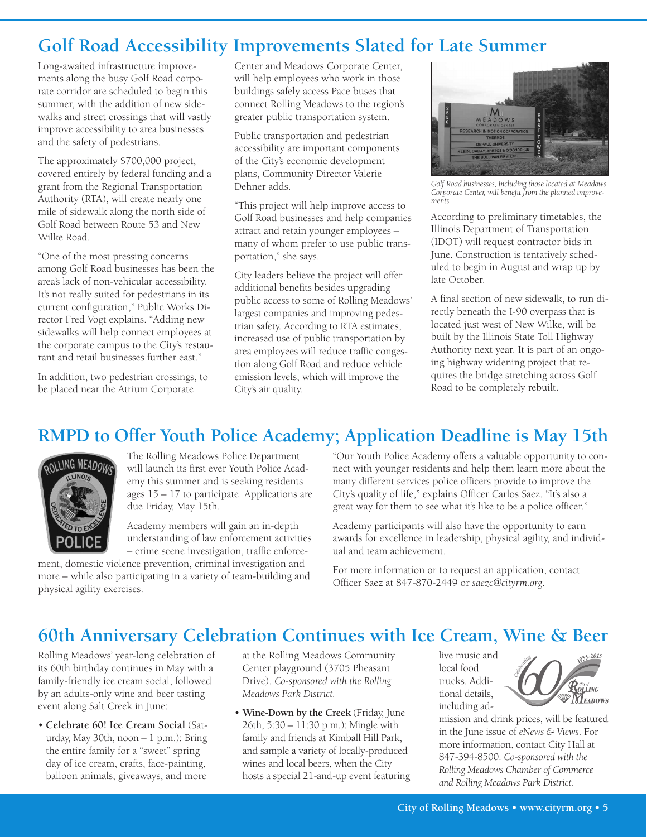## **Golf Road Accessibility Improvements Slated for Late Summer**

Long-awaited infrastructure improvements along the busy Golf Road corporate corridor are scheduled to begin this summer, with the addition of new sidewalks and street crossings that will vastly improve accessibility to area businesses and the safety of pedestrians.

The approximately \$700,000 project, covered entirely by federal funding and a grant from the Regional Transportation Authority (RTA), will create nearly one mile of sidewalk along the north side of Golf Road between Route 53 and New Wilke Road.

"One of the most pressing concerns among Golf Road businesses has been the area's lack of non-vehicular accessibility. It's not really suited for pedestrians in its current configuration," Public Works Director Fred Vogt explains. "Adding new sidewalks will help connect employees at the corporate campus to the City's restaurant and retail businesses further east."

In addition, two pedestrian crossings, to be placed near the Atrium Corporate

Center and Meadows Corporate Center, will help employees who work in those buildings safely access Pace buses that connect Rolling Meadows to the region's greater public transportation system.

Public transportation and pedestrian accessibility are important components of the City's economic development plans, Community Director Valerie Dehner adds.

"This project will help improve access to Golf Road businesses and help companies attract and retain younger employees – many of whom prefer to use public transportation," she says.

City leaders believe the project will offer additional benefits besides upgrading public access to some of Rolling Meadows' largest companies and improving pedestrian safety. According to RTA estimates, increased use of public transportation by area employees will reduce traffic congestion along Golf Road and reduce vehicle emission levels, which will improve the City's air quality.



*Golf Road businesses, including those located at Meadows Corporate Center, will benefit from the planned improvements.*

According to preliminary timetables, the Illinois Department of Transportation (IDOT) will request contractor bids in June. Construction is tentatively scheduled to begin in August and wrap up by late October.

A final section of new sidewalk, to run directly beneath the I-90 overpass that is located just west of New Wilke, will be built by the Illinois State Toll Highway Authority next year. It is part of an ongoing highway widening project that requires the bridge stretching across Golf Road to be completely rebuilt.

## **RMPD to Offer Youth Police Academy; Application Deadline is May 15th**



The Rolling Meadows Police Department will launch its first ever Youth Police Academy this summer and is seeking residents ages 15 – 17 to participate. Applications are due Friday, May 15th.

Academy members will gain an in-depth understanding of law enforcement activities – crime scene investigation, traffic enforce-

ment, domestic violence prevention, criminal investigation and more – while also participating in a variety of team-building and physical agility exercises.

"Our Youth Police Academy offers a valuable opportunity to connect with younger residents and help them learn more about the many different services police officers provide to improve the City's quality of life," explains Officer Carlos Saez. "It's also a great way for them to see what it's like to be a police officer."

Academy participants will also have the opportunity to earn awards for excellence in leadership, physical agility, and individual and team achievement.

For more information or to request an application, contact Officer Saez at 847-870-2449 or *saezc@cityrm.org*.

### **60th Anniversary Celebration Continues with Ice Cream, Wine & Beer**

Rolling Meadows' year-long celebration of its 60th birthday continues in May with a family-friendly ice cream social, followed by an adults-only wine and beer tasting event along Salt Creek in June:

• **Celebrate 60! Ice Cream Social** (Saturday, May 30th, noon – 1 p.m.): Bring the entire family for a "sweet" spring day of ice cream, crafts, face-painting, balloon animals, giveaways, and more

at the Rolling Meadows Community Center playground (3705 Pheasant Drive). *Co-sponsored with the Rolling Meadows Park District.*

• **Wine-Down by the Creek** (Friday, June 26th, 5:30 – 11:30 p.m.): Mingle with family and friends at Kimball Hill Park, and sample a variety of locally-produced wines and local beers, when the City hosts a special 21-and-up event featuring live music and local food trucks. Additional details, including ad-



mission and drink prices, will be featured in the June issue of *eNews & Views*. For more information, contact City Hall at 847-394-8500. *Co-sponsored with the Rolling Meadows Chamber of Commerce and Rolling Meadows Park District.*